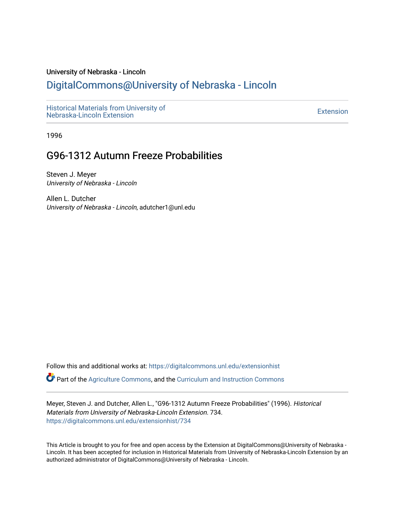#### University of Nebraska - Lincoln

# [DigitalCommons@University of Nebraska - Lincoln](https://digitalcommons.unl.edu/)

[Historical Materials from University of](https://digitalcommons.unl.edu/extensionhist)  nistorical Materials from Oniversity of the control of the control of the [Extension](https://digitalcommons.unl.edu/coop_extension) Extension extension of the<br>Nebraska-Lincoln Extension

1996

# G96-1312 Autumn Freeze Probabilities

Steven J. Meyer University of Nebraska - Lincoln

Allen L. Dutcher University of Nebraska - Lincoln, adutcher1@unl.edu

Follow this and additional works at: [https://digitalcommons.unl.edu/extensionhist](https://digitalcommons.unl.edu/extensionhist?utm_source=digitalcommons.unl.edu%2Fextensionhist%2F734&utm_medium=PDF&utm_campaign=PDFCoverPages) 

Part of the [Agriculture Commons](http://network.bepress.com/hgg/discipline/1076?utm_source=digitalcommons.unl.edu%2Fextensionhist%2F734&utm_medium=PDF&utm_campaign=PDFCoverPages), and the [Curriculum and Instruction Commons](http://network.bepress.com/hgg/discipline/786?utm_source=digitalcommons.unl.edu%2Fextensionhist%2F734&utm_medium=PDF&utm_campaign=PDFCoverPages) 

Meyer, Steven J. and Dutcher, Allen L., "G96-1312 Autumn Freeze Probabilities" (1996). Historical Materials from University of Nebraska-Lincoln Extension. 734. [https://digitalcommons.unl.edu/extensionhist/734](https://digitalcommons.unl.edu/extensionhist/734?utm_source=digitalcommons.unl.edu%2Fextensionhist%2F734&utm_medium=PDF&utm_campaign=PDFCoverPages) 

This Article is brought to you for free and open access by the Extension at DigitalCommons@University of Nebraska - Lincoln. It has been accepted for inclusion in Historical Materials from University of Nebraska-Lincoln Extension by an authorized administrator of DigitalCommons@University of Nebraska - Lincoln.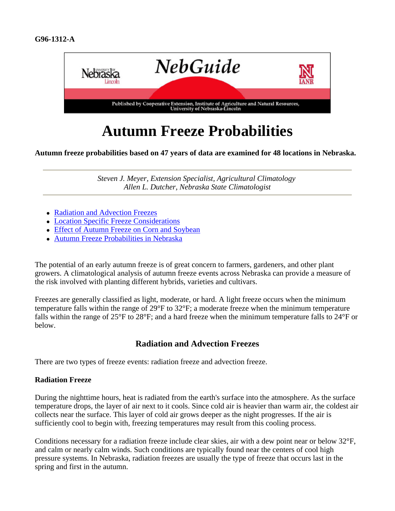

# **Autumn Freeze Probabilities**

**Autumn freeze probabilities based on 47 years of data are examined for 48 locations in Nebraska.**

*Steven J. Meyer, Extension Specialist, Agricultural Climatology Allen L. Dutcher, Nebraska State Climatologist*

- Radiation and Advection Freezes
- Location Specific Freeze Considerations
- Effect of Autumn Freeze on Corn and Soybean
- Autumn Freeze Probabilities in Nebraska

The potential of an early autumn freeze is of great concern to farmers, gardeners, and other plant growers. A climatological analysis of autumn freeze events across Nebraska can provide a measure of the risk involved with planting different hybrids, varieties and cultivars.

Freezes are generally classified as light, moderate, or hard. A light freeze occurs when the minimum temperature falls within the range of 29°F to 32°F; a moderate freeze when the minimum temperature falls within the range of 25°F to 28°F; and a hard freeze when the minimum temperature falls to 24°F or below.

## **Radiation and Advection Freezes**

There are two types of freeze events: radiation freeze and advection freeze.

#### **Radiation Freeze**

During the nighttime hours, heat is radiated from the earth's surface into the atmosphere. As the surface temperature drops, the layer of air next to it cools. Since cold air is heavier than warm air, the coldest air collects near the surface. This layer of cold air grows deeper as the night progresses. If the air is sufficiently cool to begin with, freezing temperatures may result from this cooling process.

Conditions necessary for a radiation freeze include clear skies, air with a dew point near or below 32°F, and calm or nearly calm winds. Such conditions are typically found near the centers of cool high pressure systems. In Nebraska, radiation freezes are usually the type of freeze that occurs last in the spring and first in the autumn.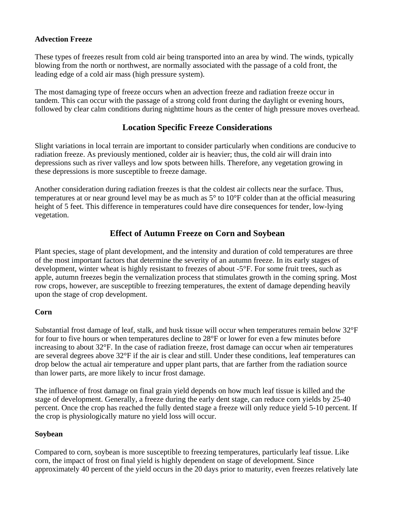#### **Advection Freeze**

These types of freezes result from cold air being transported into an area by wind. The winds, typically blowing from the north or northwest, are normally associated with the passage of a cold front, the leading edge of a cold air mass (high pressure system).

The most damaging type of freeze occurs when an advection freeze and radiation freeze occur in tandem. This can occur with the passage of a strong cold front during the daylight or evening hours, followed by clear calm conditions during nighttime hours as the center of high pressure moves overhead.

## **Location Specific Freeze Considerations**

Slight variations in local terrain are important to consider particularly when conditions are conducive to radiation freeze. As previously mentioned, colder air is heavier; thus, the cold air will drain into depressions such as river valleys and low spots between hills. Therefore, any vegetation growing in these depressions is more susceptible to freeze damage.

Another consideration during radiation freezes is that the coldest air collects near the surface. Thus, temperatures at or near ground level may be as much as 5° to 10°F colder than at the official measuring height of 5 feet. This difference in temperatures could have dire consequences for tender, low-lying vegetation.

# **Effect of Autumn Freeze on Corn and Soybean**

Plant species, stage of plant development, and the intensity and duration of cold temperatures are three of the most important factors that determine the severity of an autumn freeze. In its early stages of development, winter wheat is highly resistant to freezes of about -5°F. For some fruit trees, such as apple, autumn freezes begin the vernalization process that stimulates growth in the coming spring. Most row crops, however, are susceptible to freezing temperatures, the extent of damage depending heavily upon the stage of crop development.

#### **Corn**

Substantial frost damage of leaf, stalk, and husk tissue will occur when temperatures remain below 32°F for four to five hours or when temperatures decline to 28°F or lower for even a few minutes before increasing to about 32°F. In the case of radiation freeze, frost damage can occur when air temperatures are several degrees above 32°F if the air is clear and still. Under these conditions, leaf temperatures can drop below the actual air temperature and upper plant parts, that are farther from the radiation source than lower parts, are more likely to incur frost damage.

The influence of frost damage on final grain yield depends on how much leaf tissue is killed and the stage of development. Generally, a freeze during the early dent stage, can reduce corn yields by 25-40 percent. Once the crop has reached the fully dented stage a freeze will only reduce yield 5-10 percent. If the crop is physiologically mature no yield loss will occur.

#### **Soybean**

Compared to corn, soybean is more susceptible to freezing temperatures, particularly leaf tissue. Like corn, the impact of frost on final yield is highly dependent on stage of development. Since approximately 40 percent of the yield occurs in the 20 days prior to maturity, even freezes relatively late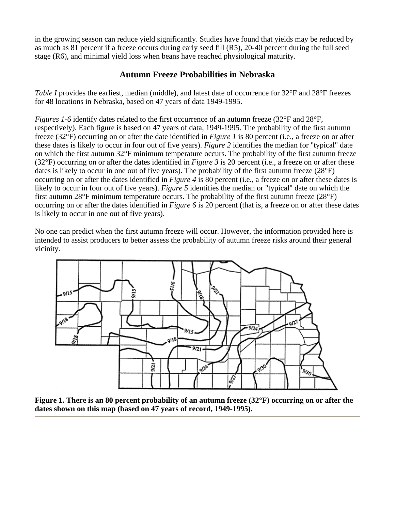in the growing season can reduce yield significantly. Studies have found that yields may be reduced by as much as 81 percent if a freeze occurs during early seed fill (R5), 20-40 percent during the full seed stage (R6), and minimal yield loss when beans have reached physiological maturity.

### **Autumn Freeze Probabilities in Nebraska**

*Table I* provides the earliest, median (middle), and latest date of occurrence for 32°F and 28°F freezes for 48 locations in Nebraska, based on 47 years of data 1949-1995.

*Figures 1-6* identify dates related to the first occurrence of an autumn freeze (32°F and 28°F, respectively). Each figure is based on 47 years of data, 1949-1995. The probability of the first autumn freeze (32°F) occurring on or after the date identified in *Figure 1* is 80 percent (i.e., a freeze on or after these dates is likely to occur in four out of five years). *Figure 2* identifies the median for "typical" date on which the first autumn 32°F minimum temperature occurs. The probability of the first autumn freeze (32°F) occurring on or after the dates identified in *Figure 3* is 20 percent (i.e., a freeze on or after these dates is likely to occur in one out of five years). The probability of the first autumn freeze  $(28°F)$ occurring on or after the dates identified in *Figure 4* is 80 percent (i.e., a freeze on or after these dates is likely to occur in four out of five years). *Figure 5* identifies the median or "typical" date on which the first autumn 28°F minimum temperature occurs. The probability of the first autumn freeze (28°F) occurring on or after the dates identified in *Figure 6* is 20 percent (that is, a freeze on or after these dates is likely to occur in one out of five years).

No one can predict when the first autumn freeze will occur. However, the information provided here is intended to assist producers to better assess the probability of autumn freeze risks around their general vicinity.



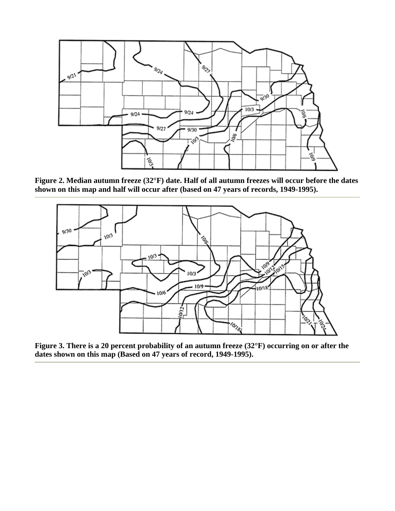

**Figure 2. Median autumn freeze (32°F) date. Half of all autumn freezes will occur before the dates shown on this map and half will occur after (based on 47 years of records, 1949-1995).**



**Figure 3. There is a 20 percent probability of an autumn freeze (32°F) occurring on or after the dates shown on this map (Based on 47 years of record, 1949-1995).**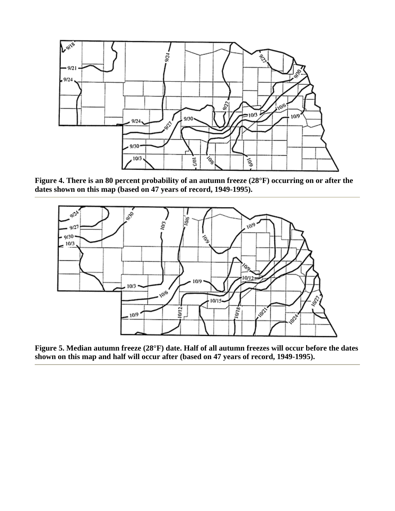

**Figure 4. There is an 80 percent probability of an autumn freeze (28°F) occurring on or after the dates shown on this map (based on 47 years of record, 1949-1995).**



**Figure 5. Median autumn freeze (28°F) date. Half of all autumn freezes will occur before the dates shown on this map and half will occur after (based on 47 years of record, 1949-1995).**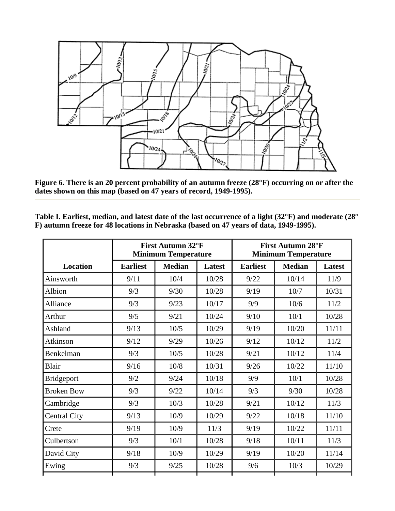

**Figure 6. There is an 20 percent probability of an autumn freeze (28°F) occurring on or after the dates shown on this map (based on 47 years of record, 1949-1995).**

**Table I. Earliest, median, and latest date of the last occurrence of a light (32°F) and moderate (28° F) autumn freeze for 48 locations in Nebraska (based on 47 years of data, 1949-1995).** 

|                     | First Autumn 32°F<br><b>Minimum Temperature</b> |               |               | <b>First Autumn 28°F</b><br><b>Minimum Temperature</b> |               |        |
|---------------------|-------------------------------------------------|---------------|---------------|--------------------------------------------------------|---------------|--------|
| <b>Location</b>     | <b>Earliest</b>                                 | <b>Median</b> | <b>Latest</b> | <b>Earliest</b>                                        | <b>Median</b> | Latest |
| Ainsworth           | 9/11                                            | 10/4          | 10/28         | 9/22                                                   | 10/14         | 11/9   |
| Albion              | 9/3                                             | 9/30          | 10/28         | 9/19                                                   | 10/7          | 10/31  |
| Alliance            | 9/3                                             | 9/23          | 10/17         | 9/9                                                    | 10/6          | 11/2   |
| Arthur              | 9/5                                             | 9/21          | 10/24         | 9/10                                                   | 10/1          | 10/28  |
| Ashland             | 9/13                                            | 10/5          | 10/29         | 9/19                                                   | 10/20         | 11/11  |
| Atkinson            | 9/12                                            | 9/29          | 10/26         | 9/12                                                   | 10/12         | 11/2   |
| Benkelman           | 9/3                                             | 10/5          | 10/28         | 9/21                                                   | 10/12         | 11/4   |
| Blair               | 9/16                                            | 10/8          | 10/31         | 9/26                                                   | 10/22         | 11/10  |
| Bridgeport          | 9/2                                             | 9/24          | 10/18         | 9/9                                                    | 10/1          | 10/28  |
| <b>Broken Bow</b>   | 9/3                                             | 9/22          | 10/14         | 9/3                                                    | 9/30          | 10/28  |
| Cambridge           | 9/3                                             | 10/3          | 10/28         | 9/21                                                   | 10/12         | 11/3   |
| <b>Central City</b> | 9/13                                            | 10/9          | 10/29         | 9/22                                                   | 10/18         | 11/10  |
| Crete               | 9/19                                            | 10/9          | 11/3          | 9/19                                                   | 10/22         | 11/11  |
| Culbertson          | 9/3                                             | 10/1          | 10/28         | 9/18                                                   | 10/11         | 11/3   |
| David City          | 9/18                                            | 10/9          | 10/29         | 9/19                                                   | 10/20         | 11/14  |
| Ewing               | 9/3                                             | 9/25          | 10/28         | 9/6                                                    | 10/3          | 10/29  |
|                     |                                                 |               |               |                                                        |               |        |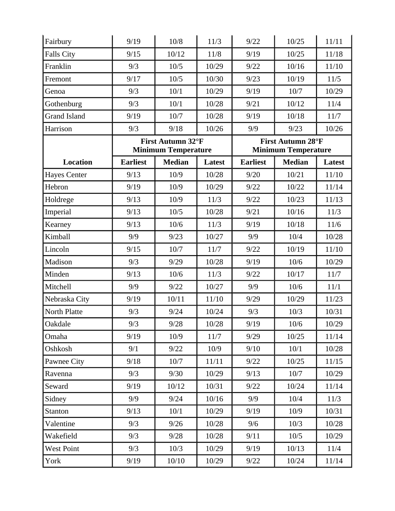| Fairbury            | 9/19                       | 10/8              | 11/3                       | 9/22                     | 10/25         | 11/11         |  |
|---------------------|----------------------------|-------------------|----------------------------|--------------------------|---------------|---------------|--|
| <b>Falls City</b>   | 9/15                       | 10/12             | 11/8                       | 9/19                     | 10/25         | 11/18         |  |
| Franklin            | 9/3                        | 10/5              | 10/29                      | 9/22                     | 10/16         | 11/10         |  |
| Fremont             | 9/17                       | 10/5              | 10/30                      | 9/23                     | 10/19         | 11/5          |  |
| Genoa               | 9/3                        | 10/1              | 10/29                      | 9/19                     | 10/7          | 10/29         |  |
| Gothenburg          | 9/3                        | 10/1              | 10/28                      | 9/21                     | 10/12         | 11/4          |  |
| <b>Grand Island</b> | 9/19                       | 10/7              | 10/28                      | 9/19                     | 10/18         | 11/7          |  |
| Harrison            | 9/3                        | 9/18              | 10/26                      | 9/9                      | 9/23          | 10/26         |  |
|                     |                            | First Autumn 32°F |                            | <b>First Autumn 28°F</b> |               |               |  |
|                     | <b>Minimum Temperature</b> |                   | <b>Minimum Temperature</b> |                          |               |               |  |
| <b>Location</b>     | <b>Earliest</b>            | <b>Median</b>     | Latest                     | <b>Earliest</b>          | <b>Median</b> | <b>Latest</b> |  |
| <b>Hayes Center</b> | 9/13                       | 10/9              | 10/28                      | 9/20                     | 10/21         | 11/10         |  |
| Hebron              | 9/19                       | 10/9              | 10/29                      | 9/22                     | 10/22         | 11/14         |  |
| Holdrege            | 9/13                       | 10/9              | 11/3                       | 9/22                     | 10/23         | 11/13         |  |
| Imperial            | 9/13                       | 10/5              | 10/28                      | 9/21                     | 10/16         | 11/3          |  |
| Kearney             | 9/13                       | 10/6              | 11/3                       | 9/19                     | 10/18         | 11/6          |  |
| Kimball             | 9/9                        | 9/23              | 10/27                      | 9/9                      | 10/4          | 10/28         |  |
| Lincoln             | 9/15                       | 10/7              | 11/7                       | 9/22                     | 10/19         | 11/10         |  |
| Madison             | 9/3                        | 9/29              | 10/28                      | 9/19                     | 10/6          | 10/29         |  |
| Minden              | 9/13                       | 10/6              | 11/3                       | 9/22                     | 10/17         | 11/7          |  |
| Mitchell            | 9/9                        | 9/22              | 10/27                      | 9/9                      | 10/6          | 11/1          |  |
| Nebraska City       | 9/19                       | 10/11             | 11/10                      | 9/29                     | 10/29         | 11/23         |  |
| North Platte        | 9/3                        | 9/24              | 10/24                      | 9/3                      | 10/3          | 10/31         |  |
| Oakdale             | 9/3                        | $9/28$            | $10/28\,$                  | 9/19                     | $10/6$        | 10/29         |  |
| Omaha               | 9/19                       | 10/9              | 11/7                       | 9/29                     | 10/25         | 11/14         |  |
| Oshkosh             | 9/1                        | 9/22              | 10/9                       | 9/10                     | 10/1          | 10/28         |  |
| Pawnee City         | 9/18                       | 10/7              | 11/11                      | 9/22                     | 10/25         | 11/15         |  |
| Ravenna             | 9/3                        | 9/30              | 10/29                      | 9/13                     | 10/7          | 10/29         |  |
| Seward              | 9/19                       | 10/12             | 10/31                      | 9/22                     | 10/24         | 11/14         |  |
| Sidney              | 9/9                        | 9/24              | 10/16                      | 9/9                      | 10/4          | 11/3          |  |
| Stanton             | 9/13                       | 10/1              | 10/29                      | 9/19                     | 10/9          | 10/31         |  |
| Valentine           | 9/3                        | 9/26              | 10/28                      | 9/6                      | 10/3          | 10/28         |  |
| Wakefield           | 9/3                        | 9/28              | 10/28                      | 9/11                     | 10/5          | 10/29         |  |
| <b>West Point</b>   | 9/3                        | 10/3              | 10/29                      | 9/19                     | 10/13         | 11/4          |  |
| York                | 9/19                       | $10/10$           | 10/29                      | 9/22                     | 10/24         | 11/14         |  |